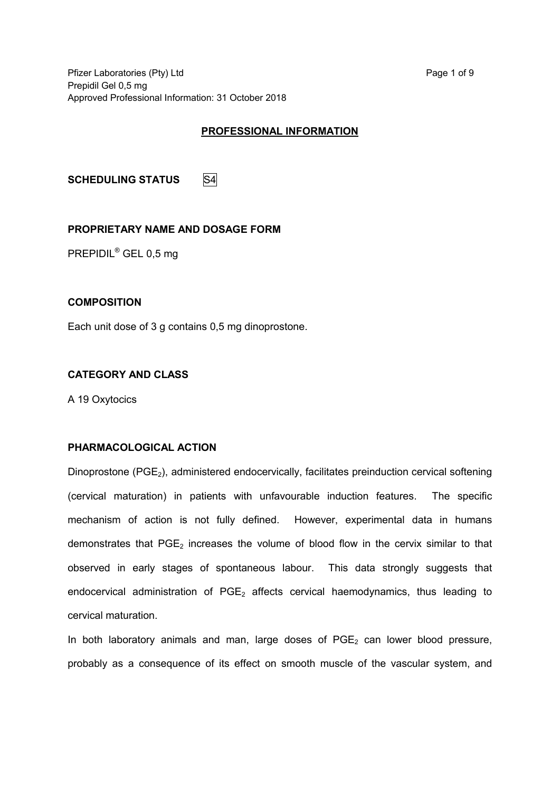Pfizer Laboratories (Pty) Ltd Page 1 of 9 Prepidil Gel 0,5 mg Approved Professional Information: 31 October 2018

## **PROFESSIONAL INFORMATION**

**SCHEDULING STATUS** S4

### **PROPRIETARY NAME AND DOSAGE FORM**

PREPIDIL® GEL 0,5 mg

#### **COMPOSITION**

Each unit dose of 3 g contains 0,5 mg dinoprostone.

#### **CATEGORY AND CLASS**

A 19 Oxytocics

## **PHARMACOLOGICAL ACTION**

Dinoprostone (PGE<sub>2</sub>), administered endocervically, facilitates preinduction cervical softening (cervical maturation) in patients with unfavourable induction features. The specific mechanism of action is not fully defined. However, experimental data in humans demonstrates that  $PGE<sub>2</sub>$  increases the volume of blood flow in the cervix similar to that observed in early stages of spontaneous labour. This data strongly suggests that endocervical administration of  $PGE<sub>2</sub>$  affects cervical haemodynamics, thus leading to cervical maturation.

In both laboratory animals and man, large doses of  $PGE<sub>2</sub>$  can lower blood pressure, probably as a consequence of its effect on smooth muscle of the vascular system, and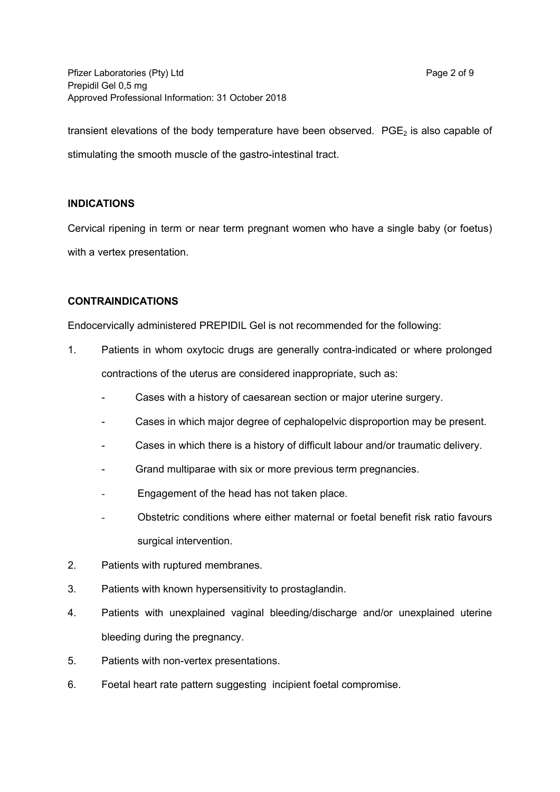Pfizer Laboratories (Pty) Ltd Page 2 of 9 Prepidil Gel 0,5 mg Approved Professional Information: 31 October 2018

transient elevations of the body temperature have been observed.  $PGE<sub>2</sub>$  is also capable of stimulating the smooth muscle of the gastro-intestinal tract.

## **INDICATIONS**

Cervical ripening in term or near term pregnant women who have a single baby (or foetus) with a vertex presentation.

### **CONTRAINDICATIONS**

Endocervically administered PREPIDIL Gel is not recommended for the following:

- 1. Patients in whom oxytocic drugs are generally contra-indicated or where prolonged contractions of the uterus are considered inappropriate, such as:
	- Cases with a history of caesarean section or major uterine surgery.
	- Cases in which major degree of cephalopelvic disproportion may be present.
	- Cases in which there is a history of difficult labour and/or traumatic delivery.
	- Grand multiparae with six or more previous term pregnancies.
	- Engagement of the head has not taken place.
	- Obstetric conditions where either maternal or foetal benefit risk ratio favours surgical intervention.
- 2. Patients with ruptured membranes.
- 3. Patients with known hypersensitivity to prostaglandin.
- 4. Patients with unexplained vaginal bleeding/discharge and/or unexplained uterine bleeding during the pregnancy.
- 5. Patients with non-vertex presentations.
- 6. Foetal heart rate pattern suggesting incipient foetal compromise.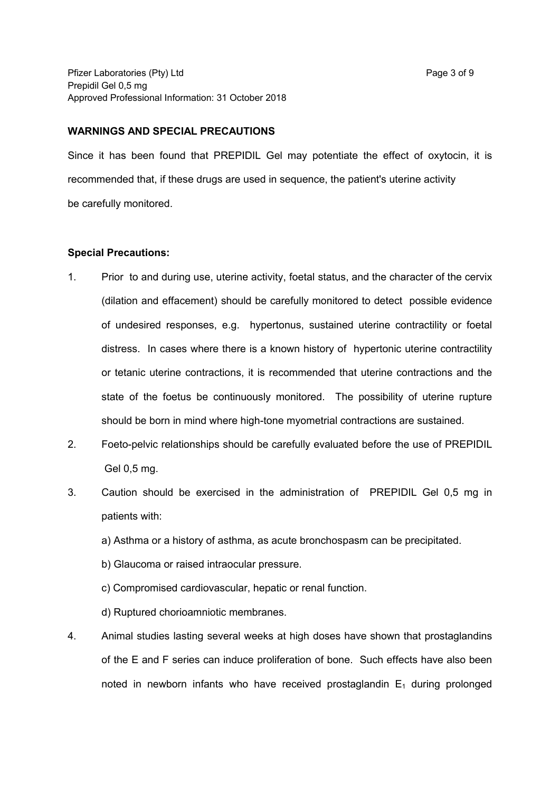#### **WARNINGS AND SPECIAL PRECAUTIONS**

Since it has been found that PREPIDIL Gel may potentiate the effect of oxytocin, it is recommended that, if these drugs are used in sequence, the patient's uterine activity be carefully monitored.

#### **Special Precautions:**

- 1. Prior to and during use, uterine activity, foetal status, and the character of the cervix (dilation and effacement) should be carefully monitored to detect possible evidence of undesired responses, e.g. hypertonus, sustained uterine contractility or foetal distress. In cases where there is a known history of hypertonic uterine contractility or tetanic uterine contractions, it is recommended that uterine contractions and the state of the foetus be continuously monitored. The possibility of uterine rupture should be born in mind where high-tone myometrial contractions are sustained.
- 2. Foeto-pelvic relationships should be carefully evaluated before the use of PREPIDIL Gel 0,5 mg.
- 3. Caution should be exercised in the administration of PREPIDIL Gel 0,5 mg in patients with:
	- a) Asthma or a history of asthma, as acute bronchospasm can be precipitated.
	- b) Glaucoma or raised intraocular pressure.
	- c) Compromised cardiovascular, hepatic or renal function.
	- d) Ruptured chorioamniotic membranes.
- 4. Animal studies lasting several weeks at high doses have shown that prostaglandins of the E and F series can induce proliferation of bone. Such effects have also been noted in newborn infants who have received prostaglandin  $E_1$  during prolonged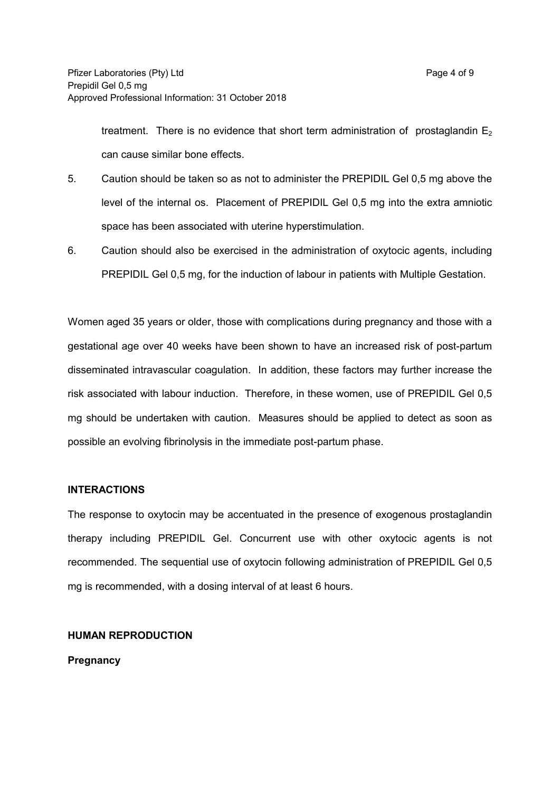treatment. There is no evidence that short term administration of prostaglandin  $E_2$ can cause similar bone effects.

- 5. Caution should be taken so as not to administer the PREPIDIL Gel 0,5 mg above the level of the internal os. Placement of PREPIDIL Gel 0,5 mg into the extra amniotic space has been associated with uterine hyperstimulation.
- 6. Caution should also be exercised in the administration of oxytocic agents, including PREPIDIL Gel 0,5 mg, for the induction of labour in patients with Multiple Gestation.

Women aged 35 years or older, those with complications during pregnancy and those with a gestational age over 40 weeks have been shown to have an increased risk of post-partum disseminated intravascular coagulation. In addition, these factors may further increase the risk associated with labour induction. Therefore, in these women, use of PREPIDIL Gel 0,5 mg should be undertaken with caution. Measures should be applied to detect as soon as possible an evolving fibrinolysis in the immediate post-partum phase.

### **INTERACTIONS**

The response to oxytocin may be accentuated in the presence of exogenous prostaglandin therapy including PREPIDIL Gel. Concurrent use with other oxytocic agents is not recommended. The sequential use of oxytocin following administration of PREPIDIL Gel 0,5 mg is recommended, with a dosing interval of at least 6 hours.

#### **HUMAN REPRODUCTION**

**Pregnancy**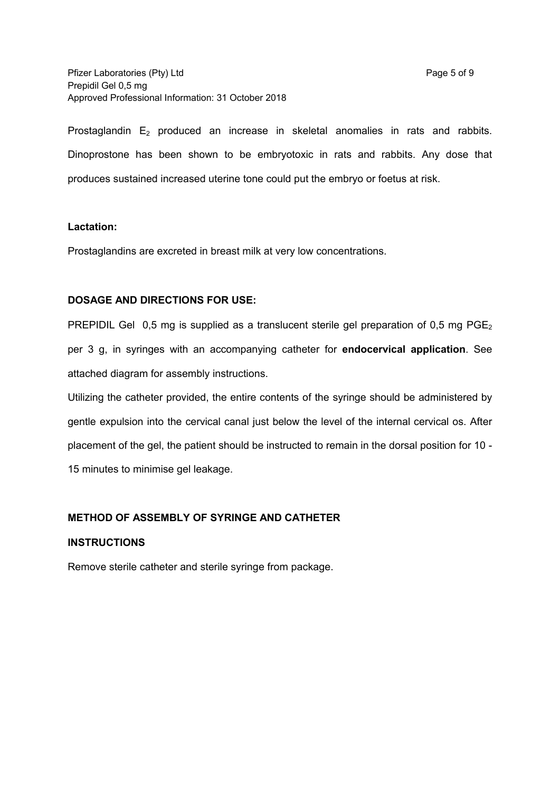Prostaglandin  $E_2$  produced an increase in skeletal anomalies in rats and rabbits. Dinoprostone has been shown to be embryotoxic in rats and rabbits. Any dose that produces sustained increased uterine tone could put the embryo or foetus at risk.

### **Lactation:**

Prostaglandins are excreted in breast milk at very low concentrations.

## **DOSAGE AND DIRECTIONS FOR USE:**

PREPIDIL Gel 0.5 mg is supplied as a translucent sterile gel preparation of 0.5 mg PGE<sub>2</sub> per 3 g, in syringes with an accompanying catheter for **endocervical application**. See attached diagram for assembly instructions.

Utilizing the catheter provided, the entire contents of the syringe should be administered by gentle expulsion into the cervical canal just below the level of the internal cervical os. After placement of the gel, the patient should be instructed to remain in the dorsal position for 10 - 15 minutes to minimise gel leakage.

## **METHOD OF ASSEMBLY OF SYRINGE AND CATHETER**

### **INSTRUCTIONS**

Remove sterile catheter and sterile syringe from package.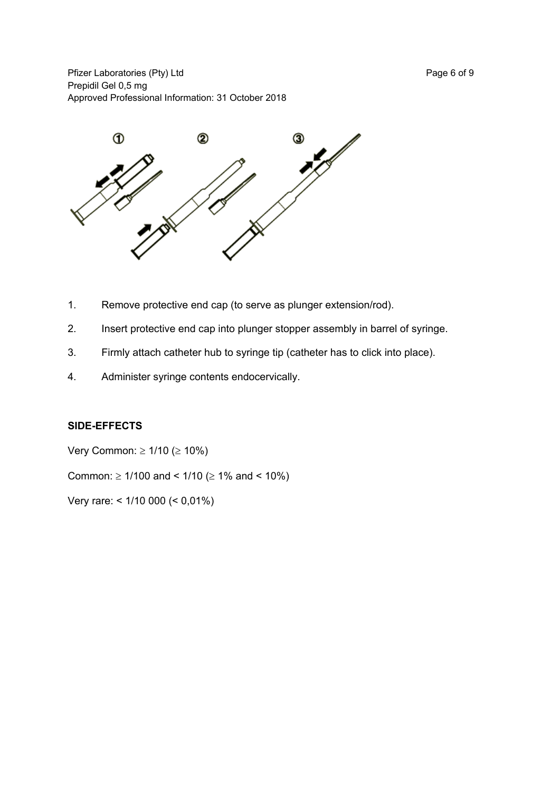Pfizer Laboratories (Pty) Ltd Page 6 of 9 Prepidil Gel 0,5 mg Approved Professional Information: 31 October 2018



- 1. Remove protective end cap (to serve as plunger extension/rod).
- 2. Insert protective end cap into plunger stopper assembly in barrel of syringe.
- 3. Firmly attach catheter hub to syringe tip (catheter has to click into place).
- 4. Administer syringe contents endocervically.

### **SIDE-EFFECTS**

Very Common:  $\geq 1/10$  ( $\geq 10\%$ )

Common:  $\geq$  1/100 and < 1/10 ( $\geq$  1% and < 10%)

Very rare: < 1/10 000 (< 0,01%)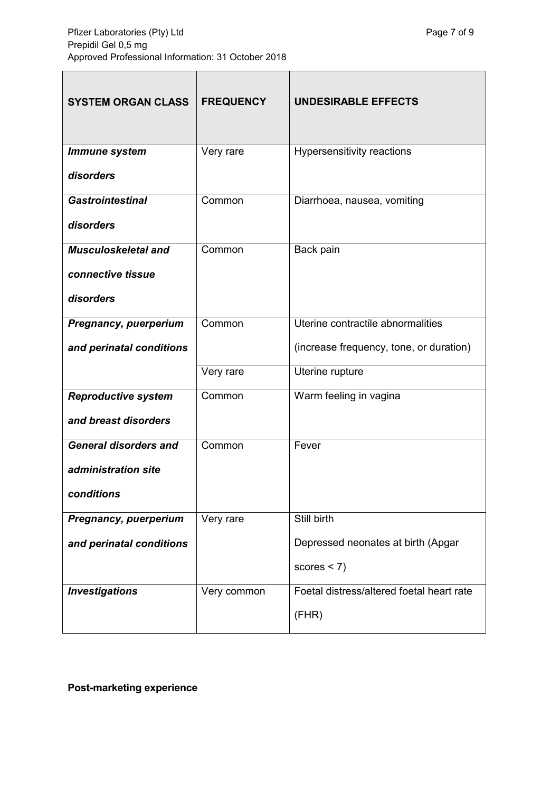| <b>SYSTEM ORGAN CLASS</b>    | <b>FREQUENCY</b> | <b>UNDESIRABLE EFFECTS</b>                |
|------------------------------|------------------|-------------------------------------------|
| <b>Immune system</b>         | Very rare        | Hypersensitivity reactions                |
| disorders                    |                  |                                           |
| <b>Gastrointestinal</b>      | Common           | Diarrhoea, nausea, vomiting               |
| disorders                    |                  |                                           |
| <b>Musculoskeletal and</b>   | Common           | Back pain                                 |
| connective tissue            |                  |                                           |
| disorders                    |                  |                                           |
| Pregnancy, puerperium        | Common           | Uterine contractile abnormalities         |
| and perinatal conditions     |                  | (increase frequency, tone, or duration)   |
|                              | Very rare        | Uterine rupture                           |
| <b>Reproductive system</b>   | Common           | Warm feeling in vagina                    |
| and breast disorders         |                  |                                           |
| <b>General disorders and</b> | Common           | Fever                                     |
| administration site          |                  |                                           |
| conditions                   |                  |                                           |
| Pregnancy, puerperium        | Very rare        | Still birth                               |
| and perinatal conditions     |                  | Depressed neonates at birth (Apgar        |
|                              |                  | scores $<$ 7)                             |
| <b>Investigations</b>        | Very common      | Foetal distress/altered foetal heart rate |
|                              |                  | (FHR)                                     |

**Post-marketing experience**

 $\overline{\phantom{a}}$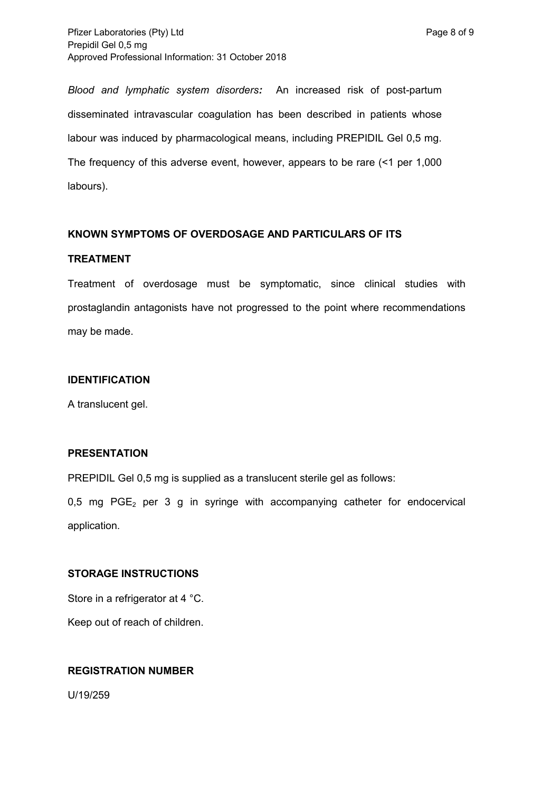*Blood and lymphatic system disorders:* An increased risk of post-partum disseminated intravascular coagulation has been described in patients whose labour was induced by pharmacological means, including PREPIDIL Gel 0,5 mg. The frequency of this adverse event, however, appears to be rare (<1 per 1,000 labours).

#### **KNOWN SYMPTOMS OF OVERDOSAGE AND PARTICULARS OF ITS**

#### **TREATMENT**

Treatment of overdosage must be symptomatic, since clinical studies with prostaglandin antagonists have not progressed to the point where recommendations may be made.

#### **IDENTIFICATION**

A translucent gel.

#### **PRESENTATION**

PREPIDIL Gel 0,5 mg is supplied as a translucent sterile gel as follows:

0,5 mg  $PGE_2$  per 3 g in syringe with accompanying catheter for endocervical application.

### **STORAGE INSTRUCTIONS**

Store in a refrigerator at 4 °C.

Keep out of reach of children.

### **REGISTRATION NUMBER**

U/19/259